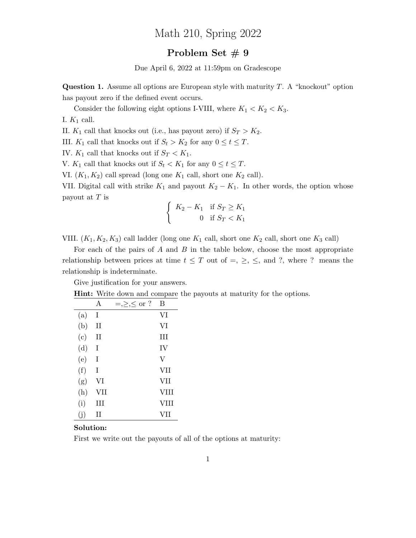## Math 210, Spring 2022

## Problem Set # 9

Due April 6, 2022 at 11:59pm on Gradescope

**Question 1.** Assume all options are European style with maturity  $T$ . A "knockout" option has payout zero if the defined event occurs.

Consider the following eight options I-VIII, where  $K_1 < K_2 < K_3$ .

I.  $K_1$  call.

II.  $K_1$  call that knocks out (i.e., has payout zero) if  $S_T > K_2$ .

III.  $K_1$  call that knocks out if  $S_t > K_2$  for any  $0 \le t \le T$ .

IV.  $K_1$  call that knocks out if  $S_T < K_1$ .

V.  $K_1$  call that knocks out if  $S_t < K_1$  for any  $0 \le t \le T$ .

VI.  $(K_1, K_2)$  call spread (long one  $K_1$  call, short one  $K_2$  call).

VII. Digital call with strike  $K_1$  and payout  $K_2 - K_1$ . In other words, the option whose payout at  $T$  is

$$
\begin{cases} K_2 - K_1 & \text{if } S_T \ge K_1 \\ 0 & \text{if } S_T < K_1 \end{cases}
$$

VIII.  $(K_1, K_2, K_3)$  call ladder (long one  $K_1$  call, short one  $K_2$  call, short one  $K_3$  call)

For each of the pairs of  $A$  and  $B$  in the table below, choose the most appropriate relationship between prices at time  $t \leq T$  out of  $=, \geq, \leq,$  and ?, where ? means the relationship is indeterminate.

Give justification for your answers.

Hint: Write down and compare the payouts at maturity for the options.

|     | A           | $=,\ge,\le$ or ? | В    |
|-----|-------------|------------------|------|
| (a) | T           |                  | VI   |
| (b) | $_{\rm II}$ |                  | VI   |
| (c) | Н           |                  | Ш    |
| (d) | Ι           |                  | IV   |
| (e) | T           |                  | V    |
| (f) | T           |                  | VII  |
| (g) | VI          |                  | VII  |
| (h) | VII         |                  | VIII |
| (i) | Ħ           |                  | VIII |
| (i) | H           |                  | VII  |

## Solution:

First we write out the payouts of all of the options at maturity: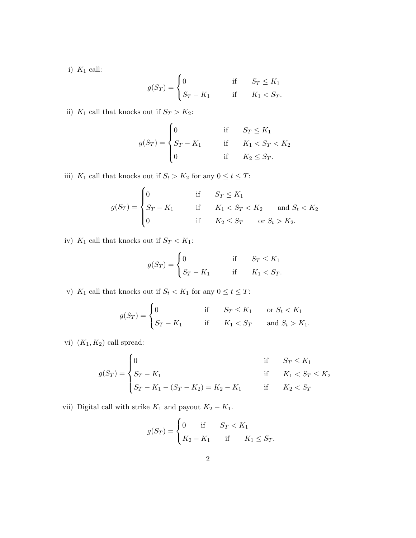i)  $K_1$  call:

$$
g(S_T) = \begin{cases} 0 & \text{if } S_T \le K_1 \\ S_T - K_1 & \text{if } K_1 < S_T. \end{cases}
$$

ii) $\, K_1$  call that knocks out if  $S_T > K_2$  :

$$
g(S_T) = \begin{cases} 0 & \text{if } S_T \le K_1 \\ S_T - K_1 & \text{if } K_1 < S_T < K_2 \\ 0 & \text{if } K_2 \le S_T. \end{cases}
$$

iii)  $K_1$  call that knocks out if  $S_t > K_2$  for any  $0 \le t \le T$ :

$$
g(S_T) = \begin{cases} 0 & \text{if } S_T \le K_1 \\ S_T - K_1 & \text{if } K_1 < S_T < K_2 \\ 0 & \text{if } K_2 \le S_T \end{cases} \text{ and } S_t < K_2
$$

iv)  $K_1$  call that knocks out if  $S_T < K_1$ :

$$
g(S_T) = \begin{cases} 0 & \text{if } S_T \le K_1 \\ S_T - K_1 & \text{if } K_1 < S_T. \end{cases}
$$

v)  $K_1$  call that knocks out if  $S_t < K_1$  for any  $0 \le t \le T$ :

$$
g(S_T) = \begin{cases} 0 & \text{if } S_T \le K_1 \quad \text{or } S_t < K_1 \\ S_T - K_1 & \text{if } K_1 < S_T \quad \text{and } S_t > K_1. \end{cases}
$$

vi)  $(K_1, K_2)$  call spread:

$$
g(S_T) = \begin{cases} 0 & \text{if } S_T \le K_1 \\ S_T - K_1 & \text{if } K_1 < S_T \le K_2 \\ S_T - K_1 - (S_T - K_2) = K_2 - K_1 & \text{if } K_2 < S_T \end{cases}
$$

vii) Digital call with strike  $K_1$  and payout  $K_2 - K_1$ .

$$
g(S_T) = \begin{cases} 0 & \text{if } S_T < K_1 \\ K_2 - K_1 & \text{if } K_1 \le S_T. \end{cases}
$$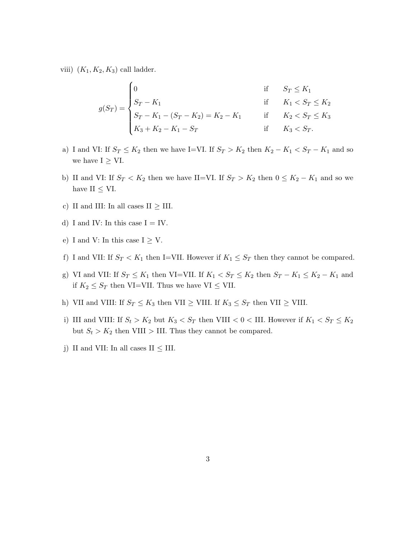viii)  $(K_1, K_2, K_3)$  call ladder.

$$
g(S_T) = \begin{cases} 0 & \text{if } S_T \leq K_1 \\ S_T - K_1 & \text{if } K_1 < S_T \leq K_2 \\ S_T - K_1 - (S_T - K_2) = K_2 - K_1 & \text{if } K_2 < S_T \leq K_3 \\ K_3 + K_2 - K_1 - S_T & \text{if } K_3 < S_T. \end{cases}
$$

- a) I and VI: If  $S_T \leq K_2$  then we have I=VI. If  $S_T > K_2$  then  $K_2 K_1 < S_T K_1$  and so we have  $I \geq VI$ .
- b) II and VI: If  $S_T < K_2$  then we have II=VI. If  $S_T > K_2$  then  $0 \leq K_2 K_1$  and so we have II  $\leq$  VI.
- c) II and III: In all cases II  $\geq$  III.
- d) I and IV: In this case  $I = IV$ .
- e) I and V: In this case  $I \geq V$ .
- f) I and VII: If  $S_T < K_1$  then I=VII. However if  $K_1 \leq S_T$  then they cannot be compared.
- g) VI and VII: If  $S_T \leq K_1$  then VI=VII. If  $K_1 < S_T \leq K_2$  then  $S_T K_1 \leq K_2 K_1$  and if  $K_2 \leq S_T$  then VI=VII. Thus we have VI  $\leq$  VII.
- h) VII and VIII: If  $S_T \le K_3$  then VII  $\ge$  VIII. If  $K_3 \le S_T$  then VII  $\ge$  VIII.
- i) III and VIII: If  $S_t > K_2$  but  $K_3 < S_T$  then VIII  $< 0 <$  III. However if  $K_1 < S_T \le K_2$ but  $S_t > K_2$  then VIII > III. Thus they cannot be compared.
- j) II and VII: In all cases II  $\leq$  III.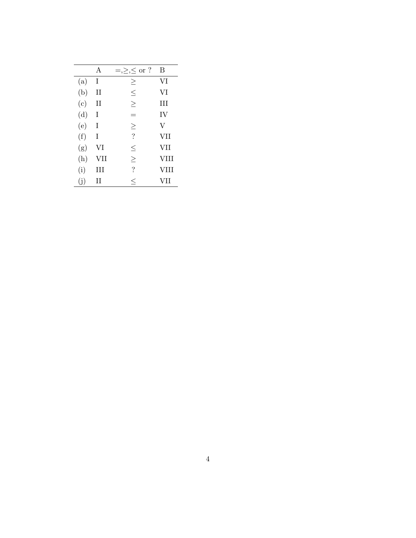|     | A           | $=,\ge,\le$ or ?         | B           |
|-----|-------------|--------------------------|-------------|
| (a) | I           | $\geq$                   | VI          |
| (b) | $_{\rm II}$ | $\leq$                   | VI          |
| (c) | II          | $\geq$                   | Ш           |
| (d) | I           | -                        | IV          |
| (e) | T           | $\geq$                   | V           |
| (f) | T           | $\overline{\cdot}$       | VII         |
| (g) | VI          | $\leq$                   | <b>VII</b>  |
| (h) | VII         | $\geq$                   | <b>VIII</b> |
| (i) | Ш           | $\overline{\mathcal{E}}$ | VIII        |
| (j) | Н           | $\leq$                   | VII         |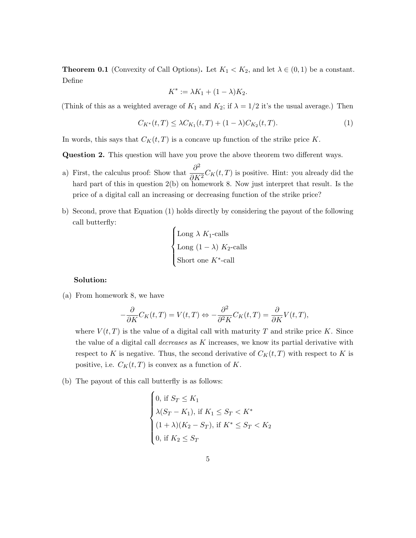**Theorem 0.1** (Convexity of Call Options). Let  $K_1 < K_2$ , and let  $\lambda \in (0,1)$  be a constant. Define

$$
K^* := \lambda K_1 + (1 - \lambda) K_2.
$$

(Think of this as a weighted average of  $K_1$  and  $K_2$ ; if  $\lambda = 1/2$  it's the usual average.) Then

$$
C_{K^*}(t,T) \leq \lambda C_{K_1}(t,T) + (1-\lambda)C_{K_2}(t,T). \tag{1}
$$

In words, this says that  $C_K(t,T)$  is a concave up function of the strike price K.

Question 2. This question will have you prove the above theorem two different ways.

- a) First, the calculus proof: Show that  $\frac{\partial^2}{\partial X}$  $\frac{\partial}{\partial K^2} C_K(t,T)$  is positive. Hint: you already did the hard part of this in question 2(b) on homework 8. Now just interpret that result. Is the price of a digital call an increasing or decreasing function of the strike price?
- b) Second, prove that Equation (1) holds directly by considering the payout of the following call butterfly:  $\epsilon$

Long 
$$
\lambda K_1
$$
-calls  
Long  $(1 - \lambda) K_2$ -calls  
Short one  $K^*$ -call

## Solution:

(a) From homework 8, we have

$$
-\frac{\partial}{\partial K}C_K(t,T) = V(t,T) \Leftrightarrow -\frac{\partial^2}{\partial^2 K}C_K(t,T) = \frac{\partial}{\partial K}V(t,T),
$$

where  $V(t, T)$  is the value of a digital call with maturity T and strike price K. Since the value of a digital call *decreases* as  $K$  increases, we know its partial derivative with respect to K is negative. Thus, the second derivative of  $C_K(t,T)$  with respect to K is positive, i.e.  $C_K(t,T)$  is convex as a function of K.

(b) The payout of this call butterfly is as follows:

$$
\begin{cases}\n0, \text{ if } S_T \leq K_1 \\
\lambda(S_T - K_1), \text{ if } K_1 \leq S_T < K^* \\
(1 + \lambda)(K_2 - S_T), \text{ if } K^* \leq S_T < K_2 \\
0, \text{ if } K_2 \leq S_T\n\end{cases}
$$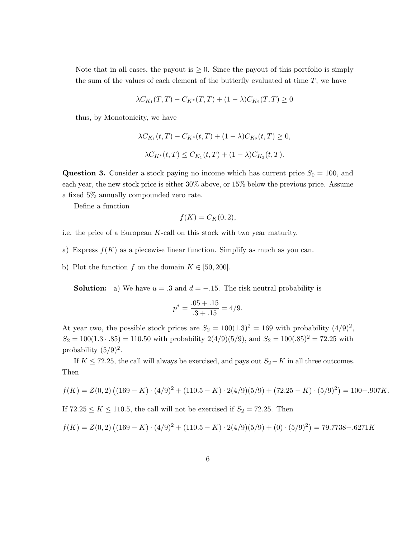Note that in all cases, the payout is  $\geq 0$ . Since the payout of this portfolio is simply the sum of the values of each element of the butterfly evaluated at time  $T$ , we have

$$
\lambda C_{K_1}(T,T) - C_{K^*}(T,T) + (1 - \lambda)C_{K_2}(T,T) \ge 0
$$

thus, by Monotonicity, we have

$$
\lambda C_{K_1}(t,T) - C_{K^*}(t,T) + (1 - \lambda)C_{K_2}(t,T) \ge 0,
$$
  

$$
\lambda C_{K^*}(t,T) \le C_{K_1}(t,T) + (1 - \lambda)C_{K_2}(t,T).
$$

**Question 3.** Consider a stock paying no income which has current price  $S_0 = 100$ , and each year, the new stock price is either 30% above, or 15% below the previous price. Assume a fixed 5% annually compounded zero rate.

Define a function

$$
f(K) = C_K(0, 2),
$$

i.e. the price of a European  $K$ -call on this stock with two year maturity.

- a) Express  $f(K)$  as a piecewise linear function. Simplify as much as you can.
- b) Plot the function f on the domain  $K \in [50, 200]$ .

**Solution:** a) We have  $u = .3$  and  $d = -.15$ . The risk neutral probability is

$$
p^* = \frac{.05 + .15}{.3 + .15} = 4/9.
$$

At year two, the possible stock prices are  $S_2 = 100(1.3)^2 = 169$  with probability  $(4/9)^2$ ,  $S_2 = 100(1.3 \cdot .85) = 110.50$  with probability  $2(4/9)(5/9)$ , and  $S_2 = 100(.85)^2 = 72.25$  with probability  $(5/9)^2$ .

If  $K \le 72.25$ , the call will always be exercised, and pays out  $S_2-K$  in all three outcomes. Then

$$
f(K) = Z(0,2) \left( (169 - K) \cdot (4/9)^2 + (110.5 - K) \cdot 2(4/9)(5/9) + (72.25 - K) \cdot (5/9)^2 \right) = 100 - .907K.
$$

If  $72.25 \le K \le 110.5$ , the call will not be exercised if  $S_2 = 72.25$ . Then

$$
f(K) = Z(0,2) \left( (169 - K) \cdot (4/9)^2 + (110.5 - K) \cdot 2(4/9)(5/9) + (0) \cdot (5/9)^2 \right) = 79.7738 - .6271K
$$